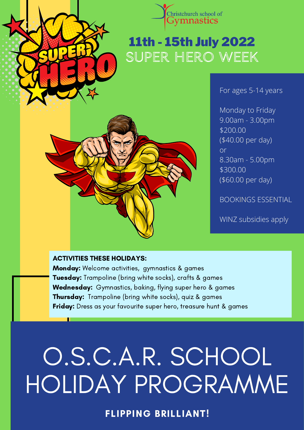



# 11th - 15th July 2022 SUPER HERO WEEK

For ages 5-14 years

Monday to Friday 9.00am - 3.00pm \$200.00 (\$40.00 per day) or 8.30am - 5.00pm \$300.00 (\$60.00 per day)

BOOKINGS ESSENTIAL

WINZ subsidies apply

#### ACTIVITIES THESE HOLIDAYS:

Monday: Welcome activities, gymnastics & games **Tuesday:** Trampoline (bring white socks), crafts & games **Wednesday:** Gymnastics, baking, flying super hero & games **Thursday:** Trampoline (bring white socks), quiz & games **Friday:** Dress as your favourite super hero, treasure hunt & games

# O.S.C.A.R. SCHOOL HOLIDAY PROGRAMME

FLIPPING BRILLIANT!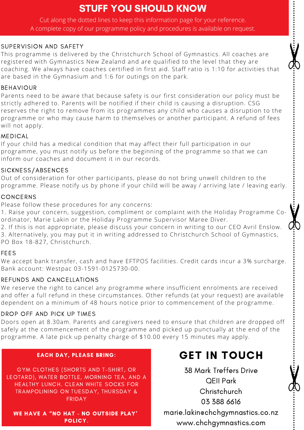## STUFF YOU SHOULD KNOW

Cut along the dotted lines to keep this information page for your reference. A complete copy of our programme policy and procedures is available on request.

#### SUPERVISION AND SAFETY

This programme is delivered by the Christchurch School of Gymnastics. All coaches are registered with Gymnastics New Zealand and are qualified to the level that they are coaching. We always have coaches certified in first aid. Staff ratio is 1:10 for activities that are based in the Gymnasium and 1:6 for outings on the park.

#### BEHAVIOUR

Parents need to be aware that because safety is our first consideration our policy must be strictly adhered to. Parents will be notified if their child is causing a disruption. CSG reserves the right to remove from its programmes any child who causes a disruption to the programme or who may cause harm to themselves or another participant. A refund of fees will not apply.

#### MEDICAL

If your child has a medical condition that may affect their full participation in our programme, you must notify us before the beginning of the programme so that we can inform our coaches and document it in our records.

#### SICKNESS/ABSENCES

Out of consideration for other participants, please do not bring unwell children to the programme. Please notify us by phone if your child will be away / arriving late / leaving early.

#### CONCERNS

Please follow these procedures for any concerns:

1. Raise your concern, suggestion, compliment or complaint with the Holiday Programme Coordinator, Marie Lakin or the Holiday Programme Supervisor Maree Diver.

2. If this is not appropriate, please discuss your concern in writing to our CEO Avril Enslow. 3. Alternatively, you may put it in writing addressed to Christchurch School of Gymnastics, PO Box 18-827, Christchurch.

#### FEES

We accept bank transfer, cash and have EFTPOS facilities. Credit cards incur a 3% surcharge. Bank account: Westpac 03-1591-0125730-00.

#### REFUNDS AND CANCELLATIONS

We reserve the right to cancel any programme where insufficient enrolments are received and offer a full refund in these circumstances. Other refunds (at your request) are available dependent on a minimum of 48 hours notice prior to commencement of the programme.

#### DROP OFF AND PICK UP TIMES

Doors open at 8.30am. Parents and caregivers need to ensure that children are dropped off safely at the commencement of the programme and picked up punctually at the end of the programme. A late pick up penalty charge of \$10.00 every 15 minutes may apply.

#### EACH DAY, PLEASE BRING:

GYM CLOTHES (SHORTS AND T-SHIRT, OR LEOTARD), WATER BOTTLE, MORNING TEA, AND A HEALTHY LUNCH. CLEAN WHITE SOCKS FOR TRAMPOLINING ON TUESDAY, THURSDAY & FRIDAY

WE HAVE A "NO HAT - NO OUTSIDE PLAY' POLICY.

## GET IN TOUCH

38 Mark Treffers Drive QEII Park **Christchurch** 03 388 6616 marie.lakin@chchgymnastics.co.nz www.chchgymnastics.com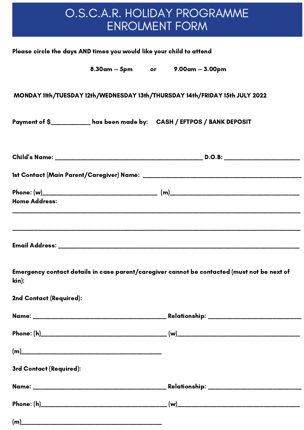# O.S.C.A.R. HOLIDAY PROGRAMME ENROLMENT FORM

|                         | Please circle the days AND times you would like your child to attend   |                                                                                             |
|-------------------------|------------------------------------------------------------------------|---------------------------------------------------------------------------------------------|
|                         | 8.30am - 5pm or 9.00am - 3.00pm                                        |                                                                                             |
|                         |                                                                        | MONDAY 11th/TUESDAY 12th/WEDNESDAY 13th/THURSDAY 14th/FRIDAY 15th JULY 2022                 |
|                         | Payment of \$__________ has been made by: CASH / EFTPOS / BANK DEPOSIT |                                                                                             |
|                         |                                                                        |                                                                                             |
|                         |                                                                        |                                                                                             |
| <b>Home Address:</b>    |                                                                        |                                                                                             |
|                         |                                                                        |                                                                                             |
| kin):                   |                                                                        | Emergency contact details in case parent/caregiver cannot be contacted (must not be next of |
| 2nd Contact (Required): |                                                                        |                                                                                             |
|                         |                                                                        |                                                                                             |
|                         |                                                                        |                                                                                             |
|                         |                                                                        |                                                                                             |
| 3rd Contact (Required): |                                                                        |                                                                                             |
|                         |                                                                        |                                                                                             |
|                         |                                                                        |                                                                                             |
|                         | (m)                                                                    |                                                                                             |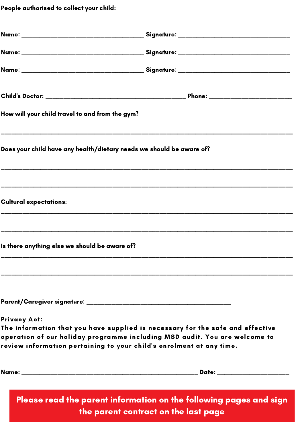People authorised to collect your child:

| How will your child travel to and from the gym?                                                                                                                                                                                                             |                                                                                                            |
|-------------------------------------------------------------------------------------------------------------------------------------------------------------------------------------------------------------------------------------------------------------|------------------------------------------------------------------------------------------------------------|
| Does your child have any health/dietary needs we should be aware of?                                                                                                                                                                                        |                                                                                                            |
|                                                                                                                                                                                                                                                             |                                                                                                            |
| <b>Cultural expectations:</b>                                                                                                                                                                                                                               |                                                                                                            |
|                                                                                                                                                                                                                                                             |                                                                                                            |
| Is there anything else we should be aware of?                                                                                                                                                                                                               |                                                                                                            |
|                                                                                                                                                                                                                                                             |                                                                                                            |
|                                                                                                                                                                                                                                                             |                                                                                                            |
| <b>Privacy Act:</b><br>The information that you have supplied is necessary for the safe and effective<br>operation of our holiday programme including MSD audit. You are welcome to<br>review information pertaining to your child's enrolment at any time. |                                                                                                            |
|                                                                                                                                                                                                                                                             |                                                                                                            |
|                                                                                                                                                                                                                                                             | Please read the parent information on the following pages and sign<br>the parent contract on the last page |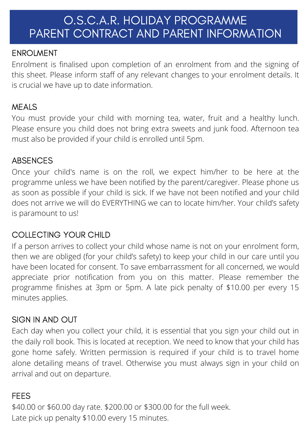# O.S.C.A.R. HOLIDAY PROGRAMME PARENT CONTRACT AND PARENT INFORMATION

### ENROLMENT

Enrolment is finalised upon completion of an enrolment from and the signing of this sheet. Please inform staff of any relevant changes to your enrolment details. It is crucial we have up to date information.

## MEALS

You must provide your child with morning tea, water, fruit and a healthy lunch. Please ensure you child does not bring extra sweets and junk food. Afternoon tea must also be provided if your child is enrolled until 5pm.

## ABSENCES

Once your child's name is on the roll, we expect him/her to be here at the programme unless we have been notified by the parent/caregiver. Please phone us as soon as possible if your child is sick. If we have not been notified and your child does not arrive we will do EVERYTHING we can to locate him/her. Your child's safety is paramount to us!

## COLLECTING YOUR CHILD

If a person arrives to collect your child whose name is not on your enrolment form, then we are obliged (for your child's safety) to keep your child in our care until you have been located for consent. To save embarrassment for all concerned, we would appreciate prior notification from you on this matter. Please remember the programme finishes at 3pm or 5pm. A late pick penalty of \$10.00 per every 15 minutes applies.

## SIGN IN AND OUT

Each day when you collect your child, it is essential that you sign your child out in the daily roll book. This is located at reception. We need to know that your child has gone home safely. Written permission is required if your child is to travel home alone detailing means of travel. Otherwise you must always sign in your child on arrival and out on departure.

#### FEES

\$40.00 or \$60.00 day rate. \$200.00 or \$300.00 for the full week. Late pick up penalty \$10.00 every 15 minutes.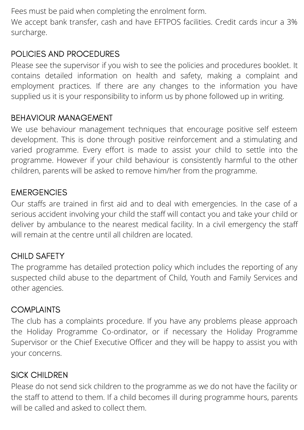Fees must be paid when completing the enrolment form.

We accept bank transfer, cash and have EFTPOS facilities. Credit cards incur a 3% surcharge.

## POLICIES AND PROCEDURES

Please see the supervisor if you wish to see the policies and procedures booklet. It contains detailed information on health and safety, making a complaint and employment practices. If there are any changes to the information you have supplied us it is your responsibility to inform us by phone followed up in writing.

## BEHAVIOUR MANAGEMENT

We use behaviour management techniques that encourage positive self esteem development. This is done through positive reinforcement and a stimulating and varied programme. Every effort is made to assist your child to settle into the programme. However if your child behaviour is consistently harmful to the other children, parents will be asked to remove him/her from the programme.

## **EMERGENCIES**

Our staffs are trained in first aid and to deal with emergencies. In the case of a serious accident involving your child the staff will contact you and take your child or deliver by ambulance to the nearest medical facility. In a civil emergency the staff will remain at the centre until all children are located.

## CHILD SAFETY

The programme has detailed protection policy which includes the reporting of any suspected child abuse to the department of Child, Youth and Family Services and other agencies.

#### **COMPLAINTS**

The club has a complaints procedure. If you have any problems please approach the Holiday Programme Co-ordinator, or if necessary the Holiday Programme Supervisor or the Chief Executive Officer and they will be happy to assist you with your concerns.

#### SICK CHILDREN

Please do not send sick children to the programme as we do not have the facility or the staff to attend to them. If a child becomes ill during programme hours, parents will be called and asked to collect them.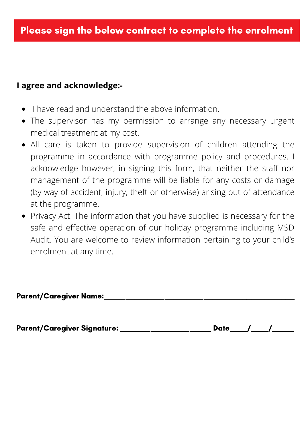#### **I agree and acknowledge:-**

- I have read and understand the above information.
- The supervisor has my permission to arrange any necessary urgent medical treatment at my cost.
- All care is taken to provide supervision of children attending the programme in accordance with programme policy and procedures. I acknowledge however, in signing this form, that neither the staff nor management of the programme will be liable for any costs or damage (by way of accident, injury, theft or otherwise) arising out of attendance at the programme.
- Privacy Act: The information that you have supplied is necessary for the safe and effective operation of our holiday programme including MSD Audit. You are welcome to review information pertaining to your child's enrolment at any time.

| <b>Parent/Caregiver Name:</b> |
|-------------------------------|
|-------------------------------|

Parent/Caregiver Signature: \_\_\_\_\_\_\_\_\_\_\_\_\_\_\_\_\_\_\_\_\_\_\_ Date\_\_\_\_/\_\_\_\_/\_\_\_\_